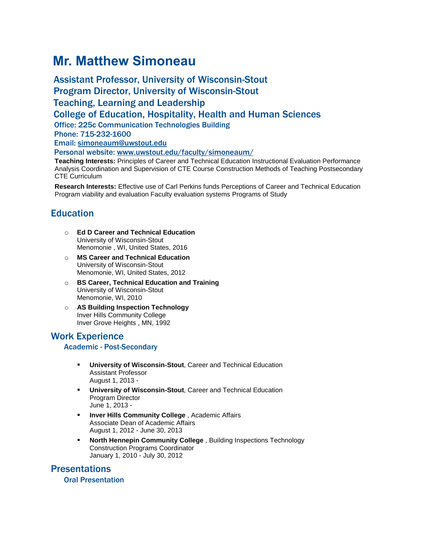# **Mr. Matthew Simoneau**

Assistant Professor, University of Wisconsin-Stout Program Director, University of Wisconsin-Stout Teaching, Learning and Leadership College of Education, Hospitality, Health and Human Sciences Office: 225c Communication Technologies Building Phone: 715-232-1600 Email: [simoneaum@uwstout.edu](mailto:simoneaum@uwstout.edu) Personal website: [www.uwstout.edu/faculty/simoneaum/](http://www.uwstout.edu/faculty/simoneaum/) **Teaching Interests:** Principles of Career and Technical Education Instructional Evaluation Performance

Analysis Coordination and Supervision of CTE Course Construction Methods of Teaching Postsecondary CTE Curriculum

**Research Interests:** Effective use of Carl Perkins funds Perceptions of Career and Technical Education Program viability and evaluation Faculty evaluation systems Programs of Study

# **Education**

- o **Ed D Career and Technical Education** University of Wisconsin-Stout Menomonie , WI, United States, 2016
- o **MS Career and Technical Education** University of Wisconsin-Stout Menomonie, WI, United States, 2012
- o **BS Career, Technical Education and Training** University of Wisconsin-Stout Menomonie, WI, 2010
- o **AS Building Inspection Technology** Inver Hills Community College Inver Grove Heights , MN, 1992

Work Experience

#### Academic - Post-Secondary

- **University of Wisconsin-Stout**, Career and Technical Education Assistant Professor August 1, 2013 -
- **University of Wisconsin-Stout, Career and Technical Education** Program Director June 1, 2013 -
- **Inver Hills Community College** , Academic Affairs Associate Dean of Academic Affairs August 1, 2012 - June 30, 2013
- **North Hennepin Community College** , Building Inspections Technology Construction Programs Coordinator January 1, 2010 - July 30, 2012

# Presentations

Oral Presentation